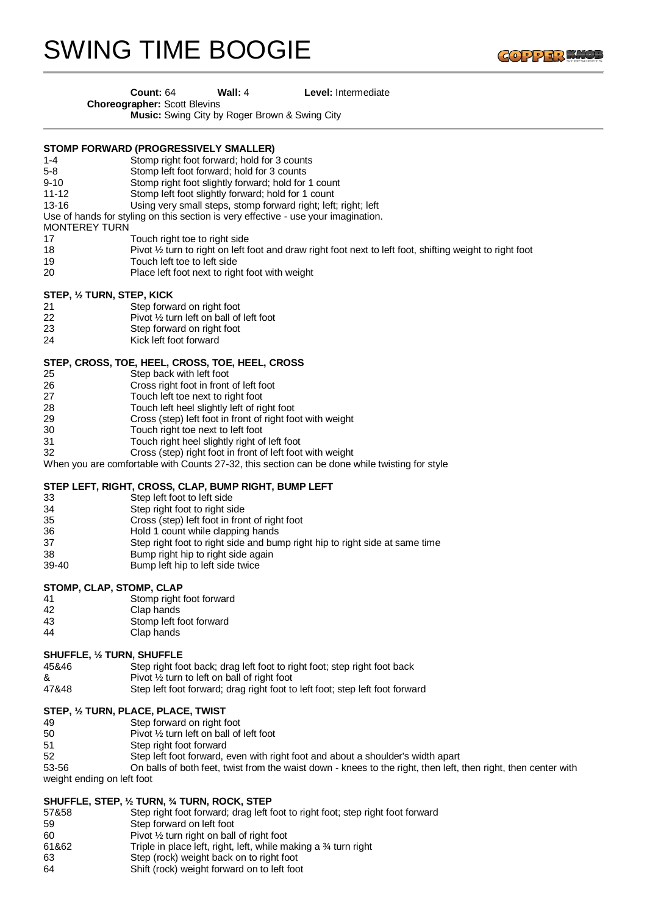# SWING TIME BOOGIE



#### **Count:** 64 **Wall:** 4 **Level:** Intermediate

**Choreographer:** Scott Blevins

**Music:** Swing City by Roger Brown & Swing City

#### **STOMP FORWARD (PROGRESSIVELY SMALLER)**

- 1-4 Stomp right foot forward; hold for 3 counts
- Stomp left foot forward; hold for 3 counts
- 9-10 Stomp right foot slightly forward; hold for 1 count<br>11-12 Stomp left foot slightly forward: hold for 1 count
- Stomp left foot slightly forward; hold for 1 count
- 13-16 Using very small steps, stomp forward right; left; right; left
- Use of hands for styling on this section is very effective use your imagination.
- MONTEREY TURN
- 17 Touch right toe to right side
- 18 Pivot 1/2 turn to right on left foot and draw right foot next to left foot, shifting weight to right foot
- 19 Touch left toe to left side
- 20 Place left foot next to right foot with weight

#### **STEP, ½ TURN, STEP, KICK**

- 21 Step forward on right foot
- 22 Pivot ½ turn left on ball of left foot
- 23 Step forward on right foot
- 24 Kick left foot forward

#### **STEP, CROSS, TOE, HEEL, CROSS, TOE, HEEL, CROSS**

- 25 Step back with left foot<br>26 Cross right foot in front
- 26 Cross right foot in front of left foot
- 27 Touch left toe next to right foot
- 28 Touch left heel slightly left of right foot<br>29 Cross (step) left foot in front of right fo
- Cross (step) left foot in front of right foot with weight
- 30 Touch right toe next to left foot
- 31 Touch right heel slightly right of left foot
- 32 Cross (step) right foot in front of left foot with weight

When you are comfortable with Counts 27-32, this section can be done while twisting for style

# **STEP LEFT, RIGHT, CROSS, CLAP, BUMP RIGHT, BUMP LEFT**

- 33 Step left foot to left side
- 34 Step right foot to right side<br>35 Cross (step) left foot in from
- 35 Cross (step) left foot in front of right foot
- 36 Hold 1 count while clapping hands
- 37 Step right foot to right side and bump right hip to right side at same time
- 38 Bump right hip to right side again
- 39-40 Bump left hip to left side twice

#### **STOMP, CLAP, STOMP, CLAP**

- 41 Stomp right foot forward
- 42 Clap hands
- 43 Stomp left foot forward
- 44 Clap hands

#### **SHUFFLE, ½ TURN, SHUFFLE**

- 45&46 Step right foot back; drag left foot to right foot; step right foot back  $\&$  Pivot  $\frac{1}{2}$  turn to left on ball of right foot
- 47&48 Step left foot forward; drag right foot to left foot; step left foot forward

# **STEP, ½ TURN, PLACE, PLACE, TWIST**

- 49 Step forward on right foot<br>50 Pivot 1/2 turn left on ball of
- Pivot 1/2 turn left on ball of left foot
- 51 Step right foot forward
- 52 Step left foot forward, even with right foot and about a shoulder's width apart
- 53-56 On balls of both feet, twist from the waist down knees to the right, then left, then right, then center with weight ending on left foot

#### **SHUFFLE, STEP, ½ TURN, ¾ TURN, ROCK, STEP**

- 57&58 Step right foot forward; drag left foot to right foot; step right foot forward
- 59 Step forward on left foot
- 60 Pivot ½ turn right on ball of right foot
- 61&62 Triple in place left, right, left, while making a ¾ turn right
- 63 Step (rock) weight back on to right foot
- 64 Shift (rock) weight forward on to left foot